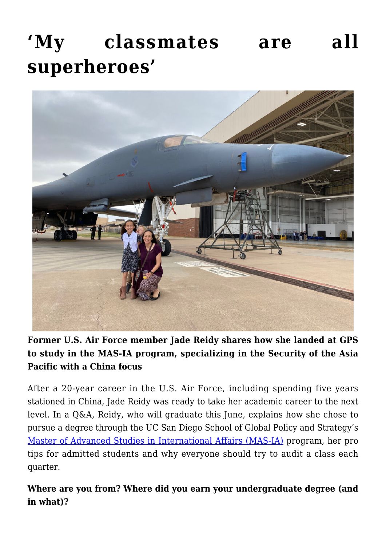# **['My classmates are all](https://gpsnews.ucsd.edu/my-classmates-are-all-superheroes/) [superheroes'](https://gpsnews.ucsd.edu/my-classmates-are-all-superheroes/)**



**Former U.S. Air Force member Jade Reidy shares how she landed at GPS to study in the MAS-IA program, specializing in the Security of the Asia Pacific with a China focus**

After a 20-year career in the U.S. Air Force, including spending five years stationed in China, Jade Reidy was ready to take her academic career to the next level. In a Q&A, Reidy, who will graduate this June, explains how she chose to pursue a degree through the UC San Diego School of Global Policy and Strategy's [Master of Advanced Studies in International Affairs \(MAS-IA\)](https://gps.ucsd.edu/academics/mas-ia.html) program, her pro tips for admitted students and why everyone should try to audit a class each quarter.

**Where are you from? Where did you earn your undergraduate degree (and in what)?**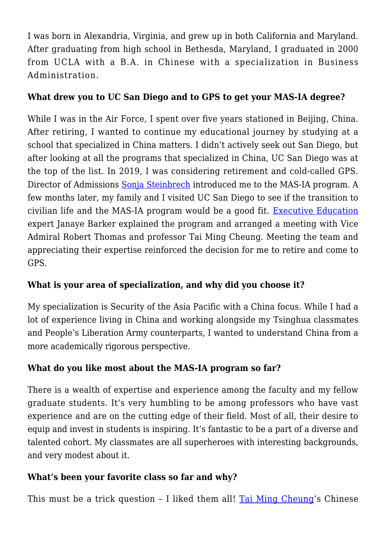I was born in Alexandria, Virginia, and grew up in both California and Maryland. After graduating from high school in Bethesda, Maryland, I graduated in 2000 from UCLA with a B.A. in Chinese with a specialization in Business Administration.

#### **What drew you to UC San Diego and to GPS to get your MAS-IA degree?**

While I was in the Air Force, I spent over five years stationed in Beijing, China. After retiring, I wanted to continue my educational journey by studying at a school that specialized in China matters. I didn't actively seek out San Diego, but after looking at all the programs that specialized in China, UC San Diego was at the top of the list. In 2019, I was considering retirement and cold-called GPS. Director of Admissions [Sonja Steinbrech](https://gps.ucsd.edu/about/contact.html#Admissions) introduced me to the MAS-IA program. A few months later, my family and I visited UC San Diego to see if the transition to civilian life and the MAS-IA program would be a good fit. [Executive Education](https://gps.ucsd.edu/executive-education/index.html) expert Janaye Barker explained the program and arranged a meeting with Vice Admiral Robert Thomas and professor Tai Ming Cheung. Meeting the team and appreciating their expertise reinforced the decision for me to retire and come to GPS.

## **What is your area of specialization, and why did you choose it?**

My specialization is Security of the Asia Pacific with a China focus. While I had a lot of experience living in China and working alongside my Tsinghua classmates and People's Liberation Army counterparts, I wanted to understand China from a more academically rigorous perspective.

## **What do you like most about the MAS-IA program so far?**

There is a wealth of expertise and experience among the faculty and my fellow graduate students. It's very humbling to be among professors who have vast experience and are on the cutting edge of their field. Most of all, their desire to equip and invest in students is inspiring. It's fantastic to be a part of a diverse and talented cohort. My classmates are all superheroes with interesting backgrounds, and very modest about it.

## **What's been your favorite class so far and why?**

This must be a trick question - I liked them all! [Tai Ming Cheung](https://gps.ucsd.edu/faculty-directory/tai-ming-cheung.html)'s Chinese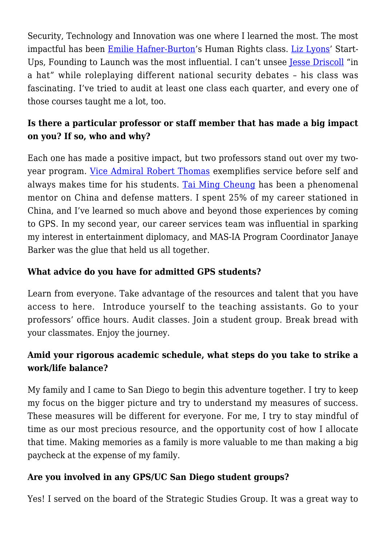Security, Technology and Innovation was one where I learned the most. The most impactful has been [Emilie Hafner-Burton](https://gps.ucsd.edu/faculty-directory/emilie-hafner-burton.html)'s Human Rights class. [Liz Lyons'](https://gps.ucsd.edu/faculty-directory/elizabeth-lyons.html) Start-Ups, Founding to Launch was the most influential. I can't unsee [Jesse Driscoll](https://gps.ucsd.edu/faculty-directory/jesse-driscoll.html) "in a hat" while roleplaying different national security debates – his class was fascinating. I've tried to audit at least one class each quarter, and every one of those courses taught me a lot, too.

## **Is there a particular professor or staff member that has made a big impact on you? If so, who and why?**

Each one has made a positive impact, but two professors stand out over my twoyear program. [Vice Admiral Robert Thomas](https://gps.ucsd.edu/faculty-directory/robert-thomas%20.html) exemplifies service before self and always makes time for his students. [Tai Ming Cheung](https://gps.ucsd.edu/faculty-directory/tai-ming-cheung.html) has been a phenomenal mentor on China and defense matters. I spent 25% of my career stationed in China, and I've learned so much above and beyond those experiences by coming to GPS. In my second year, our career services team was influential in sparking my interest in entertainment diplomacy, and MAS-IA Program Coordinator Janaye Barker was the glue that held us all together.

#### **What advice do you have for admitted GPS students?**

Learn from everyone. Take advantage of the resources and talent that you have access to here. Introduce yourself to the teaching assistants. Go to your professors' office hours. Audit classes. Join a student group. Break bread with your classmates. Enjoy the journey.

## **Amid your rigorous academic schedule, what steps do you take to strike a work/life balance?**

My family and I came to San Diego to begin this adventure together. I try to keep my focus on the bigger picture and try to understand my measures of success. These measures will be different for everyone. For me, I try to stay mindful of time as our most precious resource, and the opportunity cost of how I allocate that time. Making memories as a family is more valuable to me than making a big paycheck at the expense of my family.

#### **Are you involved in any GPS/UC San Diego student groups?**

Yes! I served on the board of the Strategic Studies Group. It was a great way to